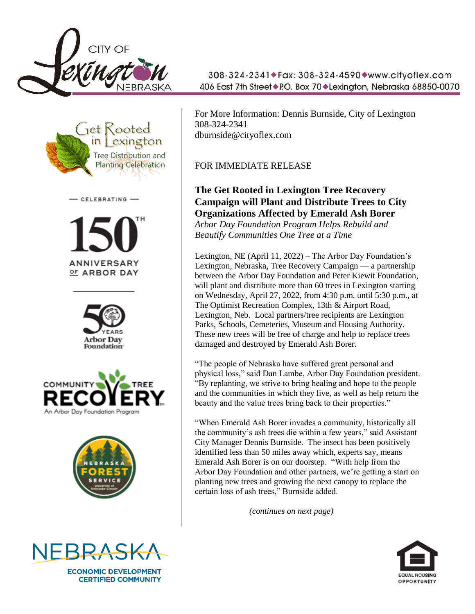





**ANNIVERSARY** OF ARBOR DAY









**ECONOMIC DEVELOPMENT CERTIFIED COMMUNITY** 

308-324-2341◆Fax: 308-324-4590◆www.cityoflex.com 406 East 7th Street◆P.O. Box 70◆Lexington, Nebraska 68850-0070

For More Information: Dennis Burnside, City of Lexington 308-324-2341 dburnside@cityoflex.com

## FOR IMMEDIATE RELEASE

## **The Get Rooted in Lexington Tree Recovery Campaign will Plant and Distribute Trees to City Organizations Affected by Emerald Ash Borer**

*Arbor Day Foundation Program Helps Rebuild and Beautify Communities One Tree at a Time*

Lexington, NE (April 11, 2022) – The Arbor Day Foundation's Lexington, Nebraska, Tree Recovery Campaign — a partnership between the Arbor Day Foundation and Peter Kiewit Foundation, will plant and distribute more than 60 trees in Lexington starting on Wednesday, April 27, 2022, from 4:30 p.m. until 5:30 p.m., at The Optimist Recreation Complex, 13th & Airport Road, Lexington, Neb. Local partners/tree recipients are Lexington Parks, Schools, Cemeteries, Museum and Housing Authority. These new trees will be free of charge and help to replace trees damaged and destroyed by Emerald Ash Borer.

"The people of Nebraska have suffered great personal and physical loss," said Dan Lambe, Arbor Day Foundation president. "By replanting, we strive to bring healing and hope to the people and the communities in which they live, as well as help return the beauty and the value trees bring back to their properties."

"When Emerald Ash Borer invades a community, historically all the community's ash trees die within a few years," said Assistant City Manager Dennis Burnside. The insect has been positively identified less than 50 miles away which, experts say, means Emerald Ash Borer is on our doorstep. "With help from the Arbor Day Foundation and other partners, we're getting a start on planting new trees and growing the next canopy to replace the certain loss of ash trees," Burnside added.

 *(continues on next page)*